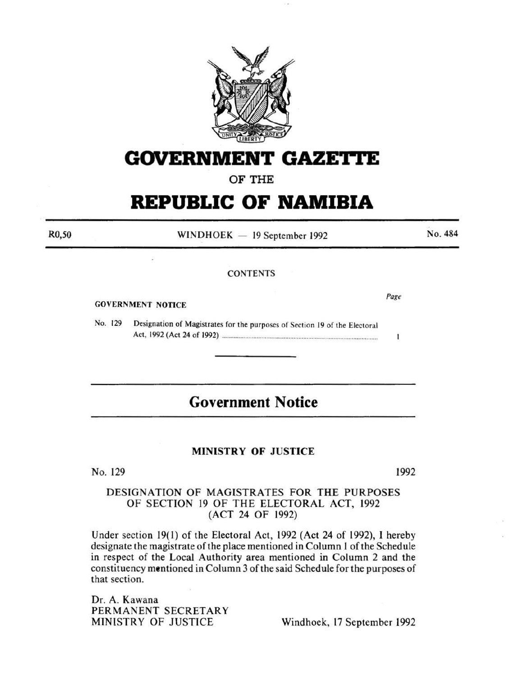

# **GOVERNMENT GAZETTE**

## OF THE

# **REPUBLIC OF NAMIBIA**

 $WINDHOEK - 19$  September 1992

**CONTENTS** 

#### GOVERNMENT NOTICE

RO,SO

No. 129 Designation of Magistrates for the purposes of Section 19 of the Electoral Act, 1992 (Act 24 of 1992) ................................................... ...................................... .

## **Government Notice**

### MINISTRY OF JUSTICE

No. 129 1992

## DESIGNATION OF MAGISTRATES FOR THE PURPOSES OF SECTION 19 OF THE ELECTORAL ACT, 1992 (ACT 24 OF 1992)

Under section 19(1) of the Electoral Act, 1992 (Act 24 of 1992), I hereby designate the magistrate of the place mentioned in Column 1 of the Schedule in respect of the Local Authority area mentioned in Column 2 and the constituency mentioned in Column 3 of the said Schedule for the purposes of that section.

Dr. A. Kawana PERMANENT SECRETARY MINISTRY OF JUSTICE Windhoek, 17 September 1992

*Page* 

Ť

No. 484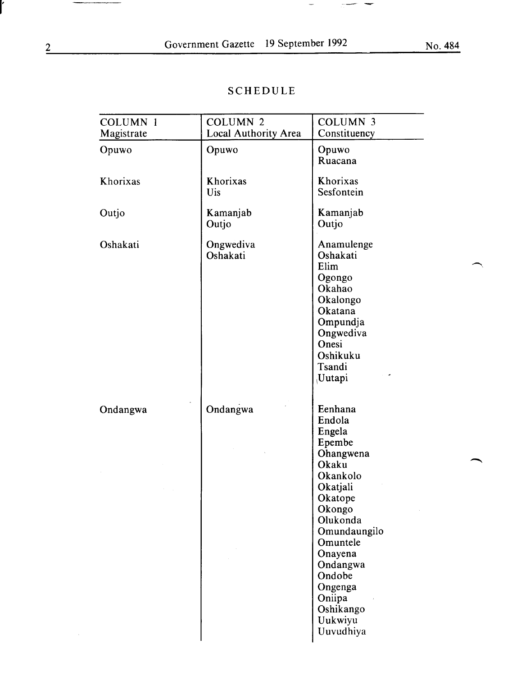## SCHEDULE

| <b>COLUMN 1</b><br>Magistrate | <b>COLUMN 2</b><br>Local Authority Area | <b>COLUMN 3</b><br>Constituency                                                                                                                                                                                                             |  |
|-------------------------------|-----------------------------------------|---------------------------------------------------------------------------------------------------------------------------------------------------------------------------------------------------------------------------------------------|--|
| Opuwo                         | Opuwo                                   | Opuwo<br>Ruacana                                                                                                                                                                                                                            |  |
| Khorixas                      | Khorixas<br>Uis                         | Khorixas<br>Sesfontein                                                                                                                                                                                                                      |  |
| Outjo                         | Kamanjab<br>Outjo                       | Kamanjab<br>Outjo                                                                                                                                                                                                                           |  |
| Oshakati                      | Ongwediva<br>Oshakati                   | Anamulenge<br>Oshakati<br>Elim<br>Ogongo<br>Okahao<br>Okalongo<br>Okatana<br>Ompundja<br>Ongwediva<br>Onesi<br>Oshikuku<br>Tsandi<br>Uutapi                                                                                                 |  |
| Ondangwa                      | Ondangwa                                | Eenhana<br>Endola<br>Engela<br>Epembe<br>Ohangwena<br>Okaku<br>Okankolo<br>Okatjali<br>Okatope<br>Okongo<br>Olukonda<br>Omundaungilo<br>Omuntele<br>Onayena<br>Ondangwa<br>Ondobe<br>Ongenga<br>Oniipa<br>Oshikango<br>Uukwiyu<br>Uuvudhiya |  |

 $\hat{\mathcal{A}}$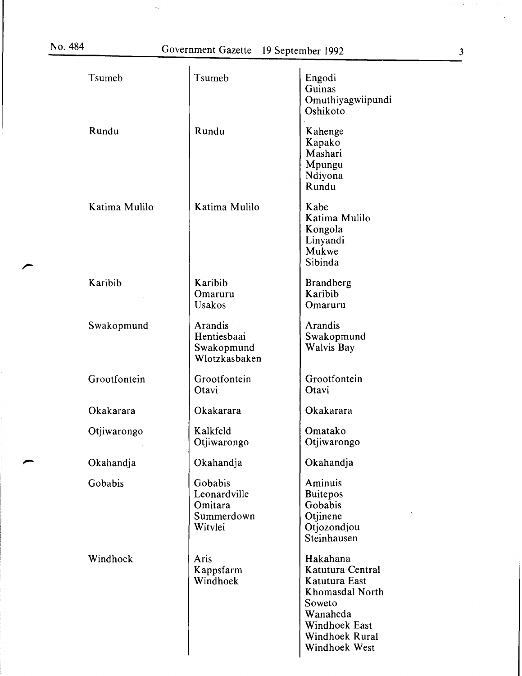$\frac{1}{\sqrt{2}}$ 

| Tsumeb        | Tsumeb                                                      | Engodi<br>Guinas<br>Omuthiyagwiipundi<br>Oshikoto                                                                                                 |
|---------------|-------------------------------------------------------------|---------------------------------------------------------------------------------------------------------------------------------------------------|
| Rundu         | Rundu                                                       | Kahenge<br>Kapako<br>Mashari<br>Mpungu<br>Ndiyona<br>Rundu                                                                                        |
| Katima Mulilo | Katima Mulilo                                               | Kabe<br>Katima Mulilo<br>Kongola<br>Linyandi<br>Mukwe<br>Sibinda                                                                                  |
| Karibib       | Karibib<br>Omaruru<br><b>Usakos</b>                         | <b>Brandberg</b><br>Karibib<br>Omaruru                                                                                                            |
| Swakopmund    | Arandis<br>Hentiesbaai<br>Swakopmund<br>Wlotzkasbaken       | Arandis<br>Swakopmund<br><b>Walvis Bay</b>                                                                                                        |
| Grootfontein  | Grootfontein<br>Otavi                                       | Grootfontein<br>Otavi                                                                                                                             |
| Okakarara     | Okakarara                                                   | Okakarara                                                                                                                                         |
| Otjiwarongo   | Kalkfeld<br>Otjiwarongo                                     | Omatako<br>Otjiwarongo                                                                                                                            |
| Okahandja     | Okahandja                                                   | Okahandja                                                                                                                                         |
| Gobabis       | Gobabis<br>Leonardville<br>Omitara<br>Summerdown<br>Witylei | Aminuis<br><b>Buitepos</b><br>Gobabis<br>Otjinene<br>Otjozondjou<br>Steinhausen                                                                   |
| Windhoek      | Aris<br>Kappsfarm<br>Windhoek                               | Hakahana<br>Katutura Central<br>Katutura East<br><b>Khomasdal North</b><br>Soweto<br>Wanaheda<br>Windhoek East<br>Windhoek Rural<br>Windhoek West |

 $\star$  $\sim$ 

 $\bar{\star}$